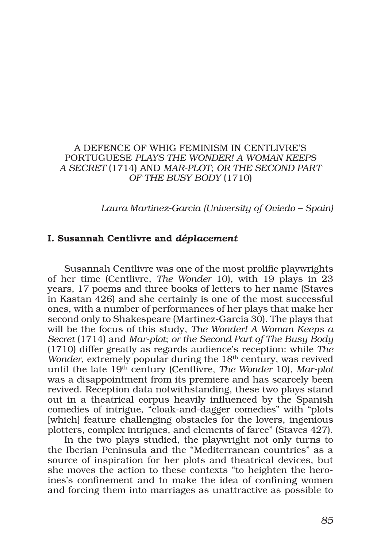## A DEFENCE OF WHIG FEMINISM IN CENTLIVRE'S PORTUGUESE *PLAYS THE WONDER! A WOMAN KEEPS A SECRET* (1714) AND *MAR-PLOT*; *OR THE SECOND PART OF THE BUSY BODY* (1710)

*Laura Martínez-García (University of Oviedo – Spain)*

## I. Susannah Centlivre and *déplacement*

Susannah Centlivre was one of the most prolific playwrights of her time (Centlivre, *The Wonder* 10), with 19 plays in 23 years, 17 poems and three books of letters to her name (Staves in Kastan 426) and she certainly is one of the most successful ones, with a number of performances of her plays that make her second only to Shakespeare (Martínez-García 30). The plays that will be the focus of this study, *The Wonder! A Woman Keeps a Secret* (1714) and *Mar-plot*; *or the Second Part of The Busy Body* (1710) differ greatly as regards audience's reception: while *The Wonder*, extremely popular during the 18<sup>th</sup> century, was revived until the late 19th century (Centlivre, *The Wonder* 10), *Mar-plot* was a disappointment from its premiere and has scarcely been revived. Reception data notwithstanding, these two plays stand out in a theatrical corpus heavily influenced by the Spanish comedies of intrigue, "cloak-and-dagger comedies" with "plots [which] feature challenging obstacles for the lovers, ingenious plotters, complex intrigues, and elements of farce" (Staves 427).

In the two plays studied, the playwright not only turns to the Iberian Peninsula and the "Mediterranean countries" as a source of inspiration for her plots and theatrical devices, but she moves the action to these contexts "to heighten the heroines's confinement and to make the idea of confining women and forcing them into marriages as unattractive as possible to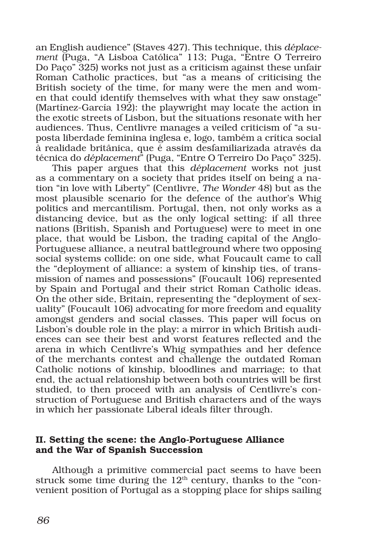an English audience" (Staves 427). This technique, this *déplacement* (Puga, "A Lisboa Católica" 113; Puga, "Entre O Terreiro Do Paço" 325) works not just as a criticism against these unfair Roman Catholic practices, but "as a means of criticising the British society of the time, for many were the men and women that could identify themselves with what they saw onstage" (Martínez-García 192): the playwright may locate the action in the exotic streets of Lisbon, but the situations resonate with her audiences. Thus, Centlivre manages a veiled criticism of "a suposta liberdade feminina inglesa e, logo, também a crítica social à realidade britânica, que é assim desfamiliarizada através da técnica do *déplacement*" (Puga, "Entre O Terreiro Do Paço" 325).

This paper argues that this *déplacement* works not just as a commentary on a society that prides itself on being a nation "in love with Liberty" (Centlivre, *The Wonder* 48) but as the most plausible scenario for the defence of the author's Whig politics and mercantilism. Portugal, then, not only works as a distancing device, but as the only logical setting: if all three nations (British, Spanish and Portuguese) were to meet in one place, that would be Lisbon, the trading capital of the Anglo-Portuguese alliance, a neutral battleground where two opposing social systems collide: on one side, what Foucault came to call the "deployment of alliance: a system of kinship ties, of transmission of names and possessions" (Foucault 106) represented by Spain and Portugal and their strict Roman Catholic ideas. On the other side, Britain, representing the "deployment of sexuality" (Foucault 106) advocating for more freedom and equality amongst genders and social classes. This paper will focus on Lisbon's double role in the play: a mirror in which British audiences can see their best and worst features reflected and the arena in which Centlivre's Whig sympathies and her defence of the merchants contest and challenge the outdated Roman Catholic notions of kinship, bloodlines and marriage; to that end, the actual relationship between both countries will be first studied, to then proceed with an analysis of Centlivre's construction of Portuguese and British characters and of the ways in which her passionate Liberal ideals filter through.

### II. Setting the scene: the Anglo-Portuguese Alliance and the War of Spanish Succession

Although a primitive commercial pact seems to have been struck some time during the  $12<sup>th</sup>$  century, thanks to the "convenient position of Portugal as a stopping place for ships sailing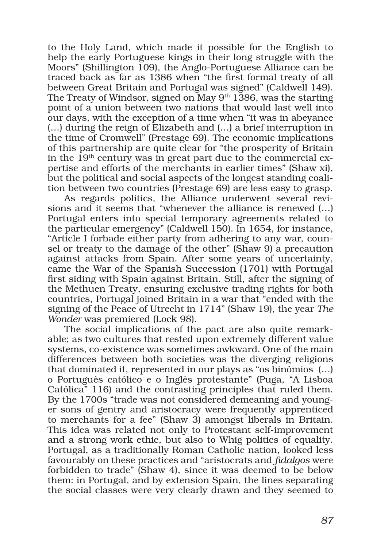to the Holy Land, which made it possible for the English to help the early Portuguese kings in their long struggle with the Moors" (Shillington 109), the Anglo-Portuguese Alliance can be traced back as far as 1386 when "the first formal treaty of all between Great Britain and Portugal was signed" (Caldwell 149). The Treaty of Windsor, signed on May  $9<sup>th</sup>$  1386, was the starting point of a union between two nations that would last well into our days, with the exception of a time when "it was in abeyance (…) during the reign of Elizabeth and (…) a brief interruption in the time of Cromwell" (Prestage 69). The economic implications of this partnership are quite clear for "the prosperity of Britain in the  $19<sup>th</sup>$  century was in great part due to the commercial expertise and efforts of the merchants in earlier times" (Shaw xi), but the political and social aspects of the longest standing coalition between two countries (Prestage 69) are less easy to grasp.

As regards politics, the Alliance underwent several revisions and it seems that "whenever the alliance is renewed (…) Portugal enters into special temporary agreements related to the particular emergency" (Caldwell 150). In 1654, for instance, "Article I forbade either party from adhering to any war, counsel or treaty to the damage of the other" (Shaw 9) a precaution against attacks from Spain. After some years of uncertainty, came the War of the Spanish Succession (1701) with Portugal first siding with Spain against Britain. Still, after the signing of the Methuen Treaty, ensuring exclusive trading rights for both countries, Portugal joined Britain in a war that "ended with the signing of the Peace of Utrecht in 1714" (Shaw 19), the year *The Wonder* was premiered (Lock 98).

The social implications of the pact are also quite remarkable; as two cultures that rested upon extremely different value systems, co-existence was sometimes awkward. One of the main differences between both societies was the diverging religions that dominated it, represented in our plays as "os binómios (…) o Português católico e o Inglês protestante" (Puga, "A Lisboa Católica" 116) and the contrasting principles that ruled them. By the 1700s "trade was not considered demeaning and younger sons of gentry and aristocracy were frequently apprenticed to merchants for a fee" (Shaw 3) amongst liberals in Britain. This idea was related not only to Protestant self-improvement and a strong work ethic, but also to Whig politics of equality. Portugal, as a traditionally Roman Catholic nation, looked less favourably on these practices and "aristocrats and *fidalgos* were forbidden to trade" (Shaw 4), since it was deemed to be below them: in Portugal, and by extension Spain, the lines separating the social classes were very clearly drawn and they seemed to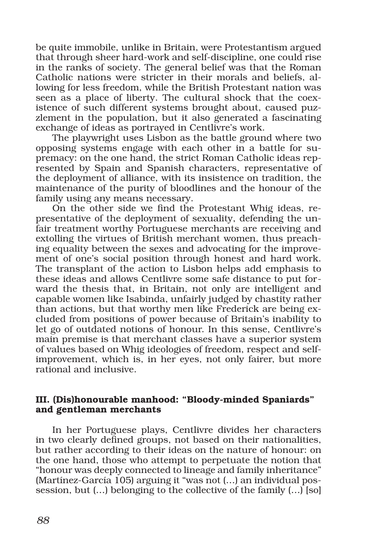be quite immobile, unlike in Britain, were Protestantism argued that through sheer hard-work and self-discipline, one could rise in the ranks of society. The general belief was that the Roman Catholic nations were stricter in their morals and beliefs, allowing for less freedom, while the British Protestant nation was seen as a place of liberty. The cultural shock that the coexistence of such different systems brought about, caused puzzlement in the population, but it also generated a fascinating exchange of ideas as portrayed in Centlivre's work.

The playwright uses Lisbon as the battle ground where two opposing systems engage with each other in a battle for supremacy: on the one hand, the strict Roman Catholic ideas represented by Spain and Spanish characters, representative of the deployment of alliance, with its insistence on tradition, the maintenance of the purity of bloodlines and the honour of the family using any means necessary.

On the other side we find the Protestant Whig ideas, representative of the deployment of sexuality, defending the unfair treatment worthy Portuguese merchants are receiving and extolling the virtues of British merchant women, thus preaching equality between the sexes and advocating for the improvement of one's social position through honest and hard work. The transplant of the action to Lisbon helps add emphasis to these ideas and allows Centlivre some safe distance to put forward the thesis that, in Britain, not only are intelligent and capable women like Isabinda, unfairly judged by chastity rather than actions, but that worthy men like Frederick are being excluded from positions of power because of Britain's inability to let go of outdated notions of honour. In this sense, Centlivre's main premise is that merchant classes have a superior system of values based on Whig ideologies of freedom, respect and selfimprovement, which is, in her eyes, not only fairer, but more rational and inclusive.

## III. (Dis)honourable manhood: "Bloody-minded Spaniards" and gentleman merchants

In her Portuguese plays, Centlivre divides her characters in two clearly defined groups, not based on their nationalities, but rather according to their ideas on the nature of honour: on the one hand, those who attempt to perpetuate the notion that "honour was deeply connected to lineage and family inheritance" (Martínez-García 105) arguing it "was not (…) an individual possession, but (…) belonging to the collective of the family (…) [so]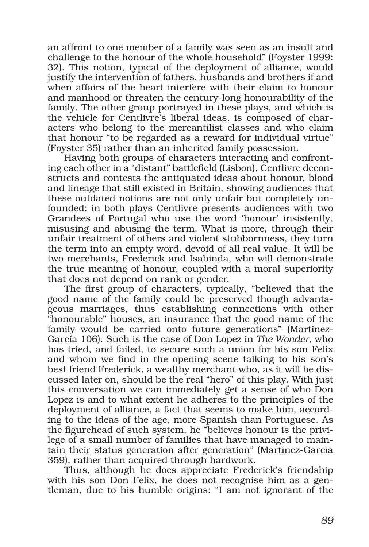an affront to one member of a family was seen as an insult and challenge to the honour of the whole household" (Foyster 1999: 32). This notion, typical of the deployment of alliance, would justify the intervention of fathers, husbands and brothers if and when affairs of the heart interfere with their claim to honour and manhood or threaten the century-long honourability of the family. The other group portrayed in these plays, and which is the vehicle for Centlivre's liberal ideas, is composed of characters who belong to the mercantilist classes and who claim that honour "to be regarded as a reward for individual virtue" (Foyster 35) rather than an inherited family possession.

Having both groups of characters interacting and confronting each other in a "distant" battlefield (Lisbon), Centlivre deconstructs and contests the antiquated ideas about honour, blood and lineage that still existed in Britain, showing audiences that these outdated notions are not only unfair but completely unfounded: in both plays Centlivre presents audiences with two Grandees of Portugal who use the word 'honour' insistently, misusing and abusing the term. What is more, through their unfair treatment of others and violent stubbornness, they turn the term into an empty word, devoid of all real value. It will be two merchants, Frederick and Isabinda, who will demonstrate the true meaning of honour, coupled with a moral superiority that does not depend on rank or gender.

The first group of characters, typically, "believed that the good name of the family could be preserved though advantageous marriages, thus establishing connections with other "honourable" houses, an insurance that the good name of the family would be carried onto future generations" (Martínez-García 106). Such is the case of Don Lopez in *The Wonder*, who has tried, and failed, to secure such a union for his son Felix and whom we find in the opening scene talking to his son's best friend Frederick, a wealthy merchant who, as it will be discussed later on, should be the real "hero" of this play. With just this conversation we can immediately get a sense of who Don Lopez is and to what extent he adheres to the principles of the deployment of alliance, a fact that seems to make him, according to the ideas of the age, more Spanish than Portuguese. As the figurehead of such system, he "believes honour is the privilege of a small number of families that have managed to maintain their status generation after generation" (Martínez-García 359), rather than acquired through hardwork.

Thus, although he does appreciate Frederick's friendship with his son Don Felix, he does not recognise him as a gentleman, due to his humble origins: "I am not ignorant of the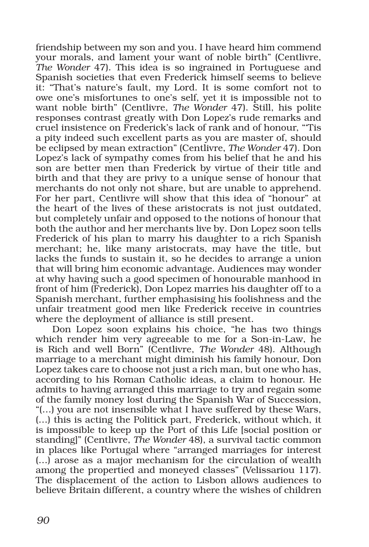friendship between my son and you. I have heard him commend your morals, and lament your want of noble birth" (Centlivre, *The Wonder* 47). This idea is so ingrained in Portuguese and Spanish societies that even Frederick himself seems to believe it: "That's nature's fault, my Lord. It is some comfort not to owe one's misfortunes to one's self, yet it is impossible not to want noble birth" (Centlivre, *The Wonder* 47). Still, his polite responses contrast greatly with Don Lopez's rude remarks and cruel insistence on Frederick's lack of rank and of honour, "'Tis a pity indeed such excellent parts as you are master of, should be eclipsed by mean extraction" (Centlivre, *The Wonder* 47). Don Lopez's lack of sympathy comes from his belief that he and his son are better men than Frederick by virtue of their title and birth and that they are privy to a unique sense of honour that merchants do not only not share, but are unable to apprehend. For her part, Centlivre will show that this idea of "honour" at the heart of the lives of these aristocrats is not just outdated, but completely unfair and opposed to the notions of honour that both the author and her merchants live by. Don Lopez soon tells Frederick of his plan to marry his daughter to a rich Spanish merchant; he, like many aristocrats, may have the title, but lacks the funds to sustain it, so he decides to arrange a union that will bring him economic advantage. Audiences may wonder at why having such a good specimen of honourable manhood in front of him (Frederick), Don Lopez marries his daughter off to a Spanish merchant, further emphasising his foolishness and the unfair treatment good men like Frederick receive in countries where the deployment of alliance is still present.

Don Lopez soon explains his choice, "he has two things which render him very agreeable to me for a Son-in-Law, he is Rich and well Born" (Centlivre, *The Wonder* 48). Although marriage to a merchant might diminish his family honour, Don Lopez takes care to choose not just a rich man, but one who has, according to his Roman Catholic ideas, a claim to honour. He admits to having arranged this marriage to try and regain some of the family money lost during the Spanish War of Succession, "(…) you are not insensible what I have suffered by these Wars, (…) this is acting the Politick part, Frederick, without which, it is impossible to keep up the Port of this Life [social position or standing]" (Centlivre, *The Wonder* 48), a survival tactic common in places like Portugal where "arranged marriages for interest (…) arose as a major mechanism for the circulation of wealth among the propertied and moneyed classes" (Velissariou 117). The displacement of the action to Lisbon allows audiences to believe Britain different, a country where the wishes of children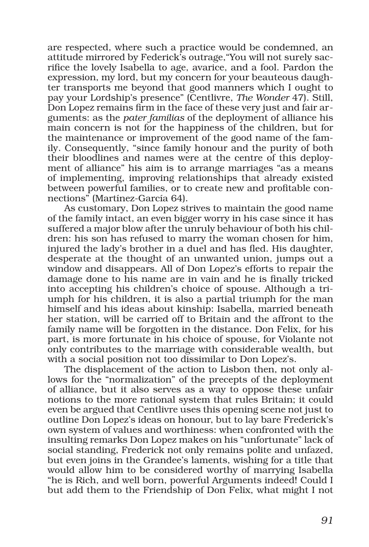are respected, where such a practice would be condemned, an attitude mirrored by Federick's outrage,"You will not surely sacrifice the lovely Isabella to age, avarice, and a fool. Pardon the expression, my lord, but my concern for your beauteous daughter transports me beyond that good manners which I ought to pay your Lordship's presence" (Centlivre, *The Wonder* 47). Still, Don Lopez remains firm in the face of these very just and fair arguments: as the *pater familias* of the deployment of alliance his main concern is not for the happiness of the children, but for the maintenance or improvement of the good name of the family. Consequently, "since family honour and the purity of both their bloodlines and names were at the centre of this deployment of alliance" his aim is to arrange marriages "as a means of implementing, improving relationships that already existed between powerful families, or to create new and profitable connections" (Martínez-García 64).

As customary, Don Lopez strives to maintain the good name of the family intact, an even bigger worry in his case since it has suffered a major blow after the unruly behaviour of both his children: his son has refused to marry the woman chosen for him, injured the lady's brother in a duel and has fled. His daughter, desperate at the thought of an unwanted union, jumps out a window and disappears. All of Don Lopez's efforts to repair the damage done to his name are in vain and he is finally tricked into accepting his children's choice of spouse. Although a triumph for his children, it is also a partial triumph for the man himself and his ideas about kinship: Isabella, married beneath her station, will be carried off to Britain and the affront to the family name will be forgotten in the distance. Don Felix, for his part, is more fortunate in his choice of spouse, for Violante not only contributes to the marriage with considerable wealth, but with a social position not too dissimilar to Don Lopez's.

The displacement of the action to Lisbon then, not only allows for the "normalization" of the precepts of the deployment of alliance, but it also serves as a way to oppose these unfair notions to the more rational system that rules Britain; it could even be argued that Centlivre uses this opening scene not just to outline Don Lopez's ideas on honour, but to lay bare Frederick's own system of values and worthiness: when confronted with the insulting remarks Don Lopez makes on his "unfortunate" lack of social standing, Frederick not only remains polite and unfazed, but even joins in the Grandee's laments, wishing for a title that would allow him to be considered worthy of marrying Isabella "he is Rich, and well born, powerful Arguments indeed! Could I but add them to the Friendship of Don Felix, what might I not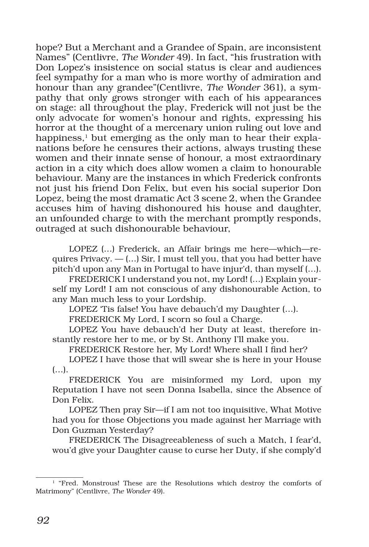hope? But a Merchant and a Grandee of Spain, are inconsistent Names" (Centlivre, *The Wonder* 49). In fact, "his frustration with Don Lopez's insistence on social status is clear and audiences feel sympathy for a man who is more worthy of admiration and honour than any grandee"(Centlivre, *The Wonder* 361), a sympathy that only grows stronger with each of his appearances on stage: all throughout the play, Frederick will not just be the only advocate for women's honour and rights, expressing his horror at the thought of a mercenary union ruling out love and happiness, $<sup>1</sup>$  but emerging as the only man to hear their expla-</sup> nations before he censures their actions, always trusting these women and their innate sense of honour, a most extraordinary action in a city which does allow women a claim to honourable behaviour. Many are the instances in which Frederick confronts not just his friend Don Felix, but even his social superior Don Lopez, being the most dramatic Act 3 scene 2, when the Grandee accuses him of having dishonoured his house and daughter, an unfounded charge to with the merchant promptly responds, outraged at such dishonourable behaviour,

LOPEZ (…) Frederick, an Affair brings me here—which—requires Privacy. — (…) Sir, I must tell you, that you had better have pitch'd upon any Man in Portugal to have injur'd, than myself (…).

FREDERICK I understand you not, my Lord! (…) Explain yourself my Lord! I am not conscious of any dishonourable Action, to any Man much less to your Lordship.

LOPEZ 'Tis false! You have debauch'd my Daughter (…).

FREDERICK My Lord, I scorn so foul a Charge.

LOPEZ You have debauch'd her Duty at least, therefore instantly restore her to me, or by St. Anthony I'll make you.

FREDERICK Restore her, My Lord! Where shall I find her?

LOPEZ I have those that will swear she is here in your House (…).

FREDERICK You are misinformed my Lord, upon my Reputation I have not seen Donna Isabella, since the Absence of Don Felix.

LOPEZ Then pray Sir—if I am not too inquisitive, What Motive had you for those Objections you made against her Marriage with Don Guzman Yesterday?

FREDERICK The Disagreeableness of such a Match, I fear'd, wou'd give your Daughter cause to curse her Duty, if she comply'd

<sup>1 &</sup>quot;Fred. Monstrous! These are the Resolutions which destroy the comforts of Matrimony" (Centlivre, *The Wonder* 49).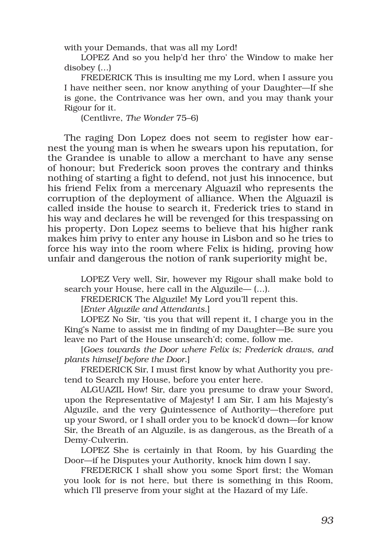with your Demands, that was all my Lord!

LOPEZ And so you help'd her thro' the Window to make her disobey (…)

FREDERICK This is insulting me my Lord, when I assure you I have neither seen, nor know anything of your Daughter—If she is gone, the Contrivance was her own, and you may thank your Rigour for it.

(Centlivre, *The Wonder* 75–6)

The raging Don Lopez does not seem to register how earnest the young man is when he swears upon his reputation, for the Grandee is unable to allow a merchant to have any sense of honour; but Frederick soon proves the contrary and thinks nothing of starting a fight to defend, not just his innocence, but his friend Felix from a mercenary Alguazil who represents the corruption of the deployment of alliance. When the Alguazil is called inside the house to search it, Frederick tries to stand in his way and declares he will be revenged for this trespassing on his property. Don Lopez seems to believe that his higher rank makes him privy to enter any house in Lisbon and so he tries to force his way into the room where Felix is hiding, proving how unfair and dangerous the notion of rank superiority might be,

LOPEZ Very well, Sir, however my Rigour shall make bold to search your House, here call in the Alguzile— (…).

FREDERICK The Alguzile! My Lord you'll repent this.

[*Enter Alguzile and Attendants*.]

LOPEZ No Sir, 'tis you that will repent it, I charge you in the King's Name to assist me in finding of my Daughter—Be sure you leave no Part of the House unsearch'd; come, follow me.

[*Goes towards the Door where Felix is; Frederick draws, and plants himself before the Door*.]

FREDERICK Sir, I must first know by what Authority you pretend to Search my House, before you enter here.

ALGUAZIL How! Sir, dare you presume to draw your Sword, upon the Representative of Majesty! I am Sir, I am his Majesty's Alguzile, and the very Quintessence of Authority—therefore put up your Sword, or I shall order you to be knock'd down—for know Sir, the Breath of an Alguzile, is as dangerous, as the Breath of a Demy-Culverin.

LOPEZ She is certainly in that Room, by his Guarding the Door—if he Disputes your Authority, knock him down I say.

FREDERICK I shall show you some Sport first; the Woman you look for is not here, but there is something in this Room, which I'll preserve from your sight at the Hazard of my Life.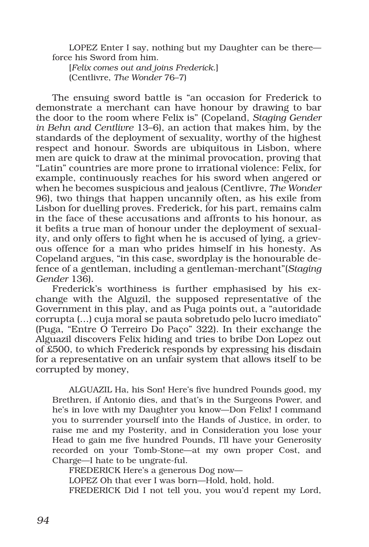LOPEZ Enter I say, nothing but my Daughter can be there force his Sword from him.

[*Felix comes out and joins Frederick*.] (Centlivre, *The Wonder* 76–7)

The ensuing sword battle is "an occasion for Frederick to demonstrate a merchant can have honour by drawing to bar the door to the room where Felix is" (Copeland, *Staging Gender in Behn and Centlivre* 13–6), an action that makes him, by the standards of the deployment of sexuality, worthy of the highest respect and honour. Swords are ubiquitous in Lisbon, where men are quick to draw at the minimal provocation, proving that "Latin" countries are more prone to irrational violence: Felix, for example, continuously reaches for his sword when angered or when he becomes suspicious and jealous (Centlivre, *The Wonder* 96), two things that happen uncannily often, as his exile from Lisbon for duelling proves. Frederick, for his part, remains calm in the face of these accusations and affronts to his honour, as it befits a true man of honour under the deployment of sexuality, and only offers to fight when he is accused of lying, a grievous offence for a man who prides himself in his honesty. As Copeland argues, "in this case, swordplay is the honourable defence of a gentleman, including a gentleman-merchant"(*Staging Gender* 136).

Frederick's worthiness is further emphasised by his exchange with the Alguzil, the supposed representative of the Government in this play, and as Puga points out, a "autoridade corrupta (…) cuja moral se pauta sobretudo pelo lucro imediato" (Puga, "Entre O Terreiro Do Paço" 322). In their exchange the Alguazil discovers Felix hiding and tries to bribe Don Lopez out of £500, to which Frederick responds by expressing his disdain for a representative on an unfair system that allows itself to be corrupted by money,

ALGUAZIL Ha, his Son! Here's five hundred Pounds good, my Brethren, if Antonio dies, and that's in the Surgeons Power, and he's in love with my Daughter you know—Don Felix! I command you to surrender yourself into the Hands of Justice, in order, to raise me and my Posterity, and in Consideration you lose your Head to gain me five hundred Pounds, I'll have your Generosity recorded on your Tomb-Stone—at my own proper Cost, and Charge—I hate to be ungrate-ful.

FREDERICK Here's a generous Dog now— LOPEZ Oh that ever I was born—Hold, hold, hold. FREDERICK Did I not tell you, you wou'd repent my Lord,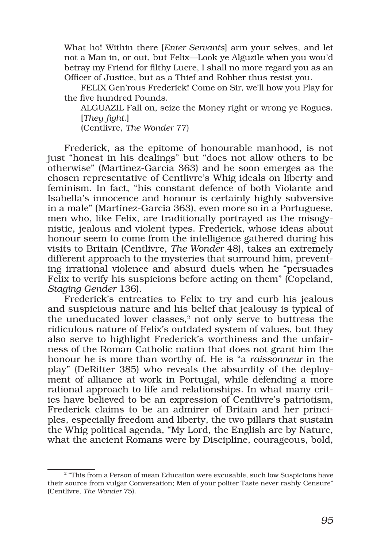What ho! Within there [*Enter Servants*] arm your selves, and let not a Man in, or out, but Felix—Look ye Alguzile when you wou'd betray my Friend for filthy Lucre, I shall no more regard you as an Officer of Justice, but as a Thief and Robber thus resist you.

FELIX Gen'rous Frederick! Come on Sir, we'll how you Play for the five hundred Pounds.

ALGUAZIL Fall on, seize the Money right or wrong ye Rogues. [*They fight*.]

(Centlivre, *The Wonder* 77)

Frederick, as the epitome of honourable manhood, is not just "honest in his dealings" but "does not allow others to be otherwise" (Martínez-García 363) and he soon emerges as the chosen representative of Centlivre's Whig ideals on liberty and feminism. In fact, "his constant defence of both Violante and Isabella's innocence and honour is certainly highly subversive in a male" (Martínez-García 363), even more so in a Portuguese, men who, like Felix, are traditionally portrayed as the misogynistic, jealous and violent types. Frederick, whose ideas about honour seem to come from the intelligence gathered during his visits to Britain (Centlivre, *The Wonder* 48), takes an extremely different approach to the mysteries that surround him, preventing irrational violence and absurd duels when he "persuades Felix to verify his suspicions before acting on them" (Copeland, *Staging Gender* 136).

Frederick's entreaties to Felix to try and curb his jealous and suspicious nature and his belief that jealousy is typical of the uneducated lower classes, $2$  not only serve to buttress the ridiculous nature of Felix's outdated system of values, but they also serve to highlight Frederick's worthiness and the unfairness of the Roman Catholic nation that does not grant him the honour he is more than worthy of. He is "a *raissonneur* in the play" (DeRitter 385) who reveals the absurdity of the deployment of alliance at work in Portugal, while defending a more rational approach to life and relationships. In what many critics have believed to be an expression of Centlivre's patriotism, Frederick claims to be an admirer of Britain and her principles, especially freedom and liberty, the two pillars that sustain the Whig political agenda, "My Lord, the English are by Nature, what the ancient Romans were by Discipline, courageous, bold,

<sup>2 &</sup>quot;This from a Person of mean Education were excusable, such low Suspicions have their source from vulgar Conversation; Men of your politer Taste never rashly Censure" (Centlivre, *The Wonder* 75).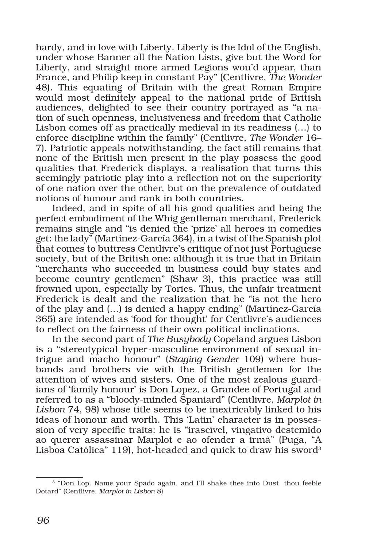hardy, and in love with Liberty. Liberty is the Idol of the English, under whose Banner all the Nation Lists, give but the Word for Liberty, and straight more armed Legions wou'd appear, than France, and Philip keep in constant Pay" (Centlivre, *The Wonder* 48). This equating of Britain with the great Roman Empire would most definitely appeal to the national pride of British audiences, delighted to see their country portrayed as "a nation of such openness, inclusiveness and freedom that Catholic Lisbon comes off as practically medieval in its readiness (…) to enforce discipline within the family" (Centlivre, *The Wonder* 16– 7). Patriotic appeals notwithstanding, the fact still remains that none of the British men present in the play possess the good qualities that Frederick displays, a realisation that turns this seemingly patriotic play into a reflection not on the superiority of one nation over the other, but on the prevalence of outdated notions of honour and rank in both countries.

Indeed, and in spite of all his good qualities and being the perfect embodiment of the Whig gentleman merchant, Frederick remains single and "is denied the 'prize' all heroes in comedies get: the lady" (Martínez-García 364), in a twist of the Spanish plot that comes to buttress Centlivre's critique of not just Portuguese society, but of the British one: although it is true that in Britain "merchants who succeeded in business could buy states and become country gentlemen" (Shaw 3), this practice was still frowned upon, especially by Tories. Thus, the unfair treatment Frederick is dealt and the realization that he "is not the hero of the play and (…) is denied a happy ending" (Martínez-García 365) are intended as 'food for thought' for Centlivre's audiences to reflect on the fairness of their own political inclinations.

In the second part of *The Busybody* Copeland argues Lisbon is a "stereotypical hyper-masculine environment of sexual intrigue and macho honour" (*Staging Gender* 109) where husbands and brothers vie with the British gentlemen for the attention of wives and sisters. One of the most zealous guardians of 'family honour' is Don Lopez, a Grandee of Portugal and referred to as a "bloody-minded Spaniard" (Centlivre, *Marplot in Lisbon* 74, 98) whose title seems to be inextricably linked to his ideas of honour and worth. This 'Latin' character is in possession of very specific traits: he is "irascível, vingativo destemido ao querer assassinar Marplot e ao ofender a irmã" (Puga, "A Lisboa Católica" 119), hot-headed and quick to draw his sword<sup>3</sup>

<sup>3 &</sup>quot;Don Lop. Name your Spado again, and I'll shake thee into Dust, thou feeble Dotard" (Centlivre, *Marplot in Lisbon* 8)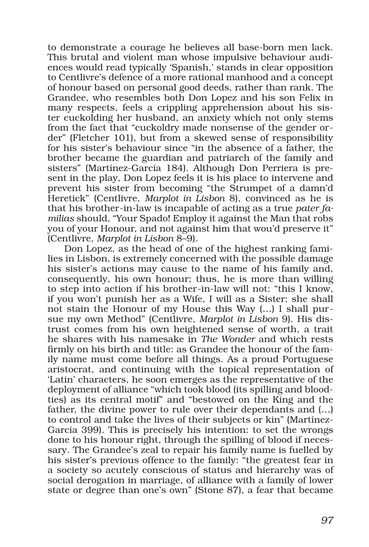to demonstrate a courage he believes all base-born men lack. This brutal and violent man whose impulsive behaviour audiences would read typically 'Spanish,' stands in clear opposition to Centlivre's defence of a more rational manhood and a concept of honour based on personal good deeds, rather than rank. The Grandee, who resembles both Don Lopez and his son Felix in many respects, feels a crippling apprehension about his sister cuckolding her husband, an anxiety which not only stems from the fact that "cuckoldry made nonsense of the gender order" (Fletcher 101), but from a skewed sense of responsibility for his sister's behaviour since "in the absence of a father, the brother became the guardian and patriarch of the family and sisters" (Martínez-García 184). Although Don Perriera is present in the play, Don Lopez feels it is his place to intervene and prevent his sister from becoming "the Strumpet of a damn'd Heretick" (Centlivre, *Marplot in Lisbon* 8), convinced as he is that his brother-in-law is incapable of acting as a true *pater familias* should, "Your Spado! Employ it against the Man that robs you of your Honour, and not against him that wou'd preserve it" (Centlivre, *Marplot in Lisbon* 8–9).

Don Lopez, as the head of one of the highest ranking families in Lisbon, is extremely concerned with the possible damage his sister's actions may cause to the name of his family and, consequently, his own honour; thus, he is more than willing to step into action if his brother-in-law will not: "this I know, if you won't punish her as a Wife, I will as a Sister; she shall not stain the Honour of my House this Way (…) I shall pursue my own Method" (Centlivre, *Marplot in Lisbon* 9). His distrust comes from his own heightened sense of worth, a trait he shares with his namesake in *The Wonder* and which rests firmly on his birth and title: as Grandee the honour of the family name must come before all things. As a proud Portuguese aristocrat, and continuing with the topical representation of 'Latin' characters, he soon emerges as the representative of the deployment of alliance "which took blood (its spilling and bloodties) as its central motif" and "bestowed on the King and the father, the divine power to rule over their dependants and (…) to control and take the lives of their subjects or kin" (Martínez-García 399). This is precisely his intention: to set the wrongs done to his honour right, through the spilling of blood if necessary. The Grandee's zeal to repair his family name is fuelled by his sister's previous offence to the family: "the greatest fear in a society so acutely conscious of status and hierarchy was of social derogation in marriage, of alliance with a family of lower state or degree than one's own" (Stone 87), a fear that became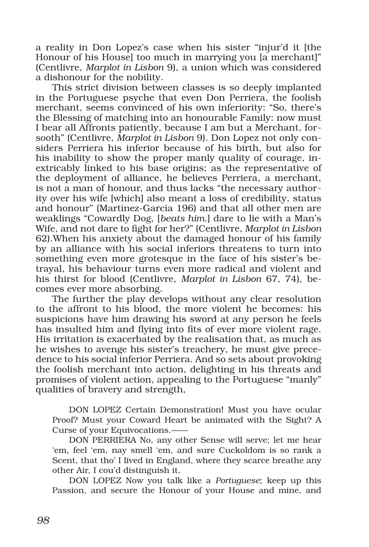a reality in Don Lopez's case when his sister "injur'd it [the Honour of his House] too much in marrying you [a merchant]" (Centlivre, *Marplot in Lisbon* 9), a union which was considered a dishonour for the nobility.

This strict division between classes is so deeply implanted in the Portuguese psyche that even Don Perriera, the foolish merchant, seems convinced of his own inferiority: "So, there's the Blessing of matching into an honourable Family: now must I bear all Affronts patiently, because I am but a Merchant, forsooth" (Centlivre, *Marplot in Lisbon* 9). Don Lopez not only considers Perriera his inferior because of his birth, but also for his inability to show the proper manly quality of courage, inextricably linked to his base origins; as the representative of the deployment of alliance, he believes Perriera, a merchant, is not a man of honour, and thus lacks "the necessary authority over his wife [which] also meant a loss of credibility, status and honour" (Martínez-García 196) and that all other men are weaklings "Cowardly Dog, [*beats him*.] dare to lie with a Man's Wife, and not dare to fight for her?" (Centlivre, *Marplot in Lisbon* 62).When his anxiety about the damaged honour of his family by an alliance with his social inferiors threatens to turn into something even more grotesque in the face of his sister's betrayal, his behaviour turns even more radical and violent and his thirst for blood (Centlivre, *Marplot in Lisbon* 67, 74), becomes ever more absorbing.

The further the play develops without any clear resolution to the affront to his blood, the more violent he becomes: his suspicions have him drawing his sword at any person he feels has insulted him and flying into fits of ever more violent rage. His irritation is exacerbated by the realisation that, as much as he wishes to avenge his sister's treachery, he must give precedence to his social inferior Perriera. And so sets about provoking the foolish merchant into action, delighting in his threats and promises of violent action, appealing to the Portuguese "manly" qualities of bravery and strength,

DON LOPEZ Certain Demonstration! Must you have ocular Proof? Must your Coward Heart be animated with the Sight? A Curse of your Equivocations.——

DON PERRIERA No, any other Sense will serve; let me hear 'em, feel 'em, nay smell 'em, and sure Cuckoldom is so rank a Scent, that tho' I lived in England, where they scarce breathe any other Air, I cou'd distinguish it.

DON LOPEZ Now you talk like a *Portuguese*; keep up this Passion, and secure the Honour of your House and mine, and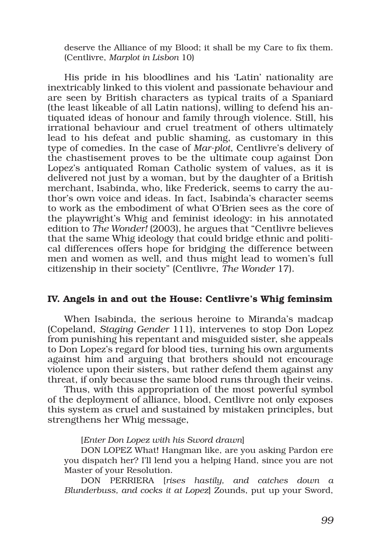deserve the Alliance of my Blood; it shall be my Care to fix them. (Centlivre, *Marplot in Lisbon* 10)

His pride in his bloodlines and his 'Latin' nationality are inextricably linked to this violent and passionate behaviour and are seen by British characters as typical traits of a Spaniard (the least likeable of all Latin nations), willing to defend his antiquated ideas of honour and family through violence. Still, his irrational behaviour and cruel treatment of others ultimately lead to his defeat and public shaming, as customary in this type of comedies. In the case of *Mar-plot*, Centlivre's delivery of the chastisement proves to be the ultimate coup against Don Lopez's antiquated Roman Catholic system of values, as it is delivered not just by a woman, but by the daughter of a British merchant, Isabinda, who, like Frederick, seems to carry the author's own voice and ideas. In fact, Isabinda's character seems to work as the embodiment of what O'Brien sees as the core of the playwright's Whig and feminist ideology: in his annotated edition to *The Wonder!* (2003), he argues that "Centlivre believes that the same Whig ideology that could bridge ethnic and political differences offers hope for bridging the difference between men and women as well, and thus might lead to women's full citizenship in their society" (Centlivre, *The Wonder* 17).

## IV. Angels in and out the House: Centlivre's Whig feminsim

When Isabinda, the serious heroine to Miranda's madcap (Copeland, *Staging Gender* 111), intervenes to stop Don Lopez from punishing his repentant and misguided sister, she appeals to Don Lopez's regard for blood ties, turning his own arguments against him and arguing that brothers should not encourage violence upon their sisters, but rather defend them against any threat, if only because the same blood runs through their veins.

Thus, with this appropriation of the most powerful symbol of the deployment of alliance, blood, Centlivre not only exposes this system as cruel and sustained by mistaken principles, but strengthens her Whig message,

#### [*Enter Don Lopez with his Sword drawn*]

DON LOPEZ What! Hangman like, are you asking Pardon ere you dispatch her? I'll lend you a helping Hand, since you are not Master of your Resolution.

DON PERRIERA [*rises hastily, and catches down a Blunderbuss, and cocks it at Lopez*] Zounds, put up your Sword,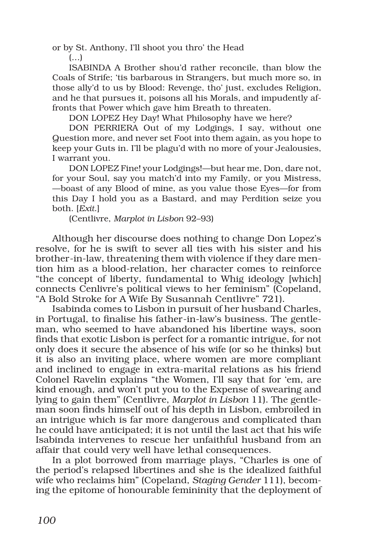or by St. Anthony, I'll shoot you thro' the Head

(…)

ISABINDA A Brother shou'd rather reconcile, than blow the Coals of Strife; 'tis barbarous in Strangers, but much more so, in those ally'd to us by Blood: Revenge, tho' just, excludes Religion, and he that pursues it, poisons all his Morals, and impudently affronts that Power which gave him Breath to threaten.

DON LOPEZ Hey Day! What Philosophy have we here?

DON PERRIERA Out of my Lodgings, I say, without one Question more, and never set Foot into them again, as you hope to keep your Guts in. I'll be plagu'd with no more of your Jealousies, I warrant you.

DON LOPEZ Fine! your Lodgings!—but hear me, Don, dare not, for your Soul, say you match'd into my Family, or you Mistress, —boast of any Blood of mine, as you value those Eyes—for from this Day I hold you as a Bastard, and may Perdition seize you both. [*Exit*.]

(Centlivre, *Marplot in Lisbon* 92–93)

Although her discourse does nothing to change Don Lopez's resolve, for he is swift to sever all ties with his sister and his brother-in-law, threatening them with violence if they dare mention him as a blood-relation, her character comes to reinforce "the concept of liberty, fundamental to Whig ideology [which] connects Cenlivre's political views to her feminism" (Copeland, "A Bold Stroke for A Wife By Susannah Centlivre" 721).

Isabinda comes to Lisbon in pursuit of her husband Charles, in Portugal, to finalise his father-in-law's business. The gentleman, who seemed to have abandoned his libertine ways, soon finds that exotic Lisbon is perfect for a romantic intrigue, for not only does it secure the absence of his wife (or so he thinks) but it is also an inviting place, where women are more compliant and inclined to engage in extra-marital relations as his friend Colonel Ravelin explains "the Women, I'll say that for 'em, are kind enough, and won't put you to the Expense of swearing and lying to gain them" (Centlivre, *Marplot in Lisbon* 11). The gentleman soon finds himself out of his depth in Lisbon, embroiled in an intrigue which is far more dangerous and complicated than he could have anticipated; it is not until the last act that his wife Isabinda intervenes to rescue her unfaithful husband from an affair that could very well have lethal consequences.

In a plot borrowed from marriage plays, "Charles is one of the period's relapsed libertines and she is the idealized faithful wife who reclaims him" (Copeland, *Staging Gender* 111), becoming the epitome of honourable femininity that the deployment of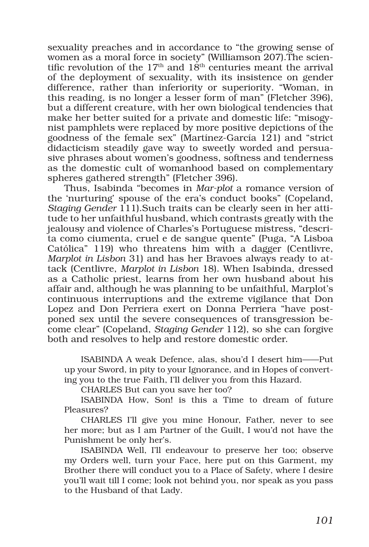sexuality preaches and in accordance to "the growing sense of women as a moral force in society" (Williamson 207).The scientific revolution of the  $17<sup>th</sup>$  and  $18<sup>th</sup>$  centuries meant the arrival of the deployment of sexuality, with its insistence on gender difference, rather than inferiority or superiority. "Woman, in this reading, is no longer a lesser form of man" (Fletcher 396), but a different creature, with her own biological tendencies that make her better suited for a private and domestic life: "misogynist pamphlets were replaced by more positive depictions of the goodness of the female sex" (Martínez-García 121) and "strict didacticism steadily gave way to sweetly worded and persuasive phrases about women's goodness, softness and tenderness as the domestic cult of womanhood based on complementary spheres gathered strength" (Fletcher 396).

Thus, Isabinda "becomes in *Mar-plot* a romance version of the 'nurturing' spouse of the era's conduct books" (Copeland, *Staging Gender* 111).Such traits can be clearly seen in her attitude to her unfaithful husband, which contrasts greatly with the jealousy and violence of Charles's Portuguese mistress, "descrita como ciumenta, cruel e de sangue quente" (Puga, "A Lisboa Católica" 119) who threatens him with a dagger (Centlivre, *Marplot in Lisbon* 31) and has her Bravoes always ready to attack (Centlivre, *Marplot in Lisbon* 18). When Isabinda, dressed as a Catholic priest, learns from her own husband about his affair and, although he was planning to be unfaithful, Marplot's continuous interruptions and the extreme vigilance that Don Lopez and Don Perriera exert on Donna Perriera "have postponed sex until the severe consequences of transgression become clear" (Copeland, *Staging Gender* 112), so she can forgive both and resolves to help and restore domestic order.

ISABINDA A weak Defence, alas, shou'd I desert him——Put up your Sword, in pity to your Ignorance, and in Hopes of converting you to the true Faith, I'll deliver you from this Hazard.

CHARLES But can you save her too?

ISABINDA How, Son! is this a Time to dream of future Pleasures?

CHARLES I'll give you mine Honour, Father, never to see her more; but as I am Partner of the Guilt, I wou'd not have the Punishment be only her's.

ISABINDA Well, I'll endeavour to preserve her too; observe my Orders well, turn your Face, here put on this Garment, my Brother there will conduct you to a Place of Safety, where I desire you'll wait till I come; look not behind you, nor speak as you pass to the Husband of that Lady.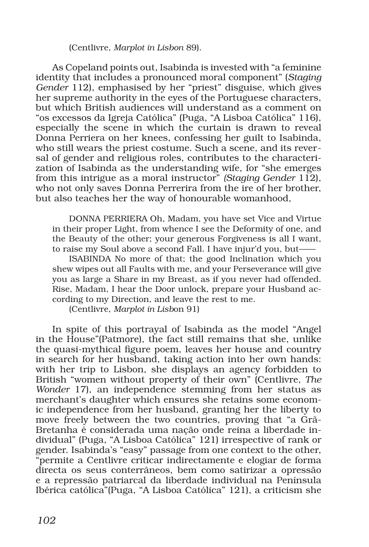(Centlivre, *Marplot in Lisbon* 89).

As Copeland points out, Isabinda is invested with "a feminine identity that includes a pronounced moral component" (*Staging Gender* 112), emphasised by her "priest" disguise, which gives her supreme authority in the eyes of the Portuguese characters, but which British audiences will understand as a comment on "os excessos da Igreja Católica" (Puga, "A Lisboa Católica" 116), especially the scene in which the curtain is drawn to reveal Donna Perriera on her knees, confessing her guilt to Isabinda, who still wears the priest costume. Such a scene, and its reversal of gender and religious roles, contributes to the characterization of Isabinda as the understanding wife, for "she emerges from this intrigue as a moral instructor" *(Staging Gender* 112), who not only saves Donna Perrerira from the ire of her brother, but also teaches her the way of honourable womanhood,

DONNA PERRIERA Oh, Madam, you have set Vice and Virtue in their proper Light, from whence I see the Deformity of one, and the Beauty of the other; your generous Forgiveness is all I want, to raise my Soul above a second Fall. I have injur'd you, but——

ISABINDA No more of that; the good Inclination which you shew wipes out all Faults with me, and your Perseverance will give you as large a Share in my Breast, as if you never had offended. Rise, Madam, I hear the Door unlock, prepare your Husband according to my Direction, and leave the rest to me.

(Centlivre, *Marplot in Lisb*on 91)

In spite of this portrayal of Isabinda as the model "Angel in the House"(Patmore), the fact still remains that she, unlike the quasi-mythical figure poem, leaves her house and country in search for her husband, taking action into her own hands: with her trip to Lisbon, she displays an agency forbidden to British "women without property of their own" (Centlivre, *The Wonder* 17), an independence stemming from her status as merchant's daughter which ensures she retains some economic independence from her husband, granting her the liberty to move freely between the two countries, proving that "a Grã-Bretanha é considerada uma nação onde reina a liberdade individual" (Puga, "A Lisboa Católica" 121) irrespective of rank or gender. Isabinda's "easy" passage from one context to the other, "permite a Centlivre criticar indirectamente e elogiar de forma directa os seus conterrâneos, bem como satirizar a opressão e a repressão patriarcal da liberdade individual na Península Ibérica católica"(Puga, "A Lisboa Católica" 121), a criticism she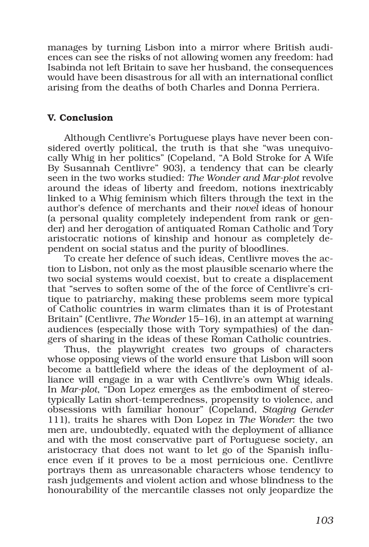manages by turning Lisbon into a mirror where British audiences can see the risks of not allowing women any freedom: had Isabinda not left Britain to save her husband, the consequences would have been disastrous for all with an international conflict arising from the deaths of both Charles and Donna Perriera.

# V. Conclusion

Although Centlivre's Portuguese plays have never been considered overtly political, the truth is that she "was unequivocally Whig in her politics" (Copeland, "A Bold Stroke for A Wife By Susannah Centlivre" 903), a tendency that can be clearly seen in the two works studied: *The Wonder and Mar-plot* revolve around the ideas of liberty and freedom, notions inextricably linked to a Whig feminism which filters through the text in the author's defence of merchants and their *novel* ideas of honour (a personal quality completely independent from rank or gender) and her derogation of antiquated Roman Catholic and Tory aristocratic notions of kinship and honour as completely dependent on social status and the purity of bloodlines.

To create her defence of such ideas, Centlivre moves the action to Lisbon, not only as the most plausible scenario where the two social systems would coexist, but to create a displacement that "serves to soften some of the of the force of Centlivre's critique to patriarchy, making these problems seem more typical of Catholic countries in warm climates than it is of Protestant Britain" (Centlivre, *The Wonder* 15–16), in an attempt at warning audiences (especially those with Tory sympathies) of the dangers of sharing in the ideas of these Roman Catholic countries.

Thus, the playwright creates two groups of characters whose opposing views of the world ensure that Lisbon will soon become a battlefield where the ideas of the deployment of alliance will engage in a war with Centlivre's own Whig ideals. In *Mar-plot*, "Don Lopez emerges as the embodiment of stereotypically Latin short-temperedness, propensity to violence, and obsessions with familiar honour" (Copeland, *Staging Gender* 111), traits he shares with Don Lopez in *The Wonder*: the two men are, undoubtedly, equated with the deployment of alliance and with the most conservative part of Portuguese society, an aristocracy that does not want to let go of the Spanish influence even if it proves to be a most pernicious one. Centlivre portrays them as unreasonable characters whose tendency to rash judgements and violent action and whose blindness to the honourability of the mercantile classes not only jeopardize the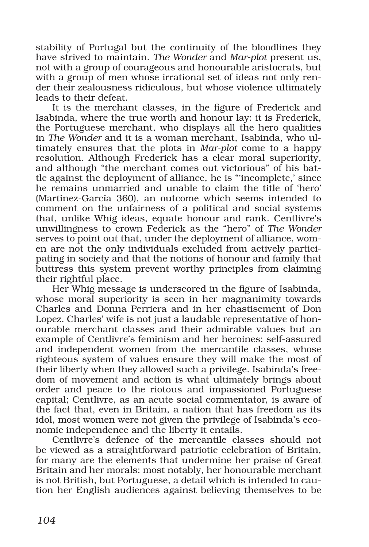stability of Portugal but the continuity of the bloodlines they have strived to maintain. *The Wonder* and *Mar-plot* present us, not with a group of courageous and honourable aristocrats, but with a group of men whose irrational set of ideas not only render their zealousness ridiculous, but whose violence ultimately leads to their defeat.

It is the merchant classes, in the figure of Frederick and Isabinda, where the true worth and honour lay: it is Frederick, the Portuguese merchant, who displays all the hero qualities in *The Wonder* and it is a woman merchant, Isabinda, who ultimately ensures that the plots in *Mar-plot* come to a happy resolution. Although Frederick has a clear moral superiority, and although "the merchant comes out victorious" of his battle against the deployment of alliance, he is "'incomplete,' since he remains unmarried and unable to claim the title of 'hero' (Martínez-García 360), an outcome which seems intended to comment on the unfairness of a political and social systems that, unlike Whig ideas, equate honour and rank. Centlivre's unwillingness to crown Federick as the "hero" of *The Wonder* serves to point out that, under the deployment of alliance, women are not the only individuals excluded from actively participating in society and that the notions of honour and family that buttress this system prevent worthy principles from claiming their rightful place.

Her Whig message is underscored in the figure of Isabinda, whose moral superiority is seen in her magnanimity towards Charles and Donna Perriera and in her chastisement of Don Lopez. Charles' wife is not just a laudable representative of honourable merchant classes and their admirable values but an example of Centlivre's feminism and her heroines: self-assured and independent women from the mercantile classes, whose righteous system of values ensure they will make the most of their liberty when they allowed such a privilege. Isabinda's freedom of movement and action is what ultimately brings about order and peace to the riotous and impassioned Portuguese capital; Centlivre, as an acute social commentator, is aware of the fact that, even in Britain, a nation that has freedom as its idol, most women were not given the privilege of Isabinda's economic independence and the liberty it entails.

Centlivre's defence of the mercantile classes should not be viewed as a straightforward patriotic celebration of Britain, for many are the elements that undermine her praise of Great Britain and her morals: most notably, her honourable merchant is not British, but Portuguese, a detail which is intended to caution her English audiences against believing themselves to be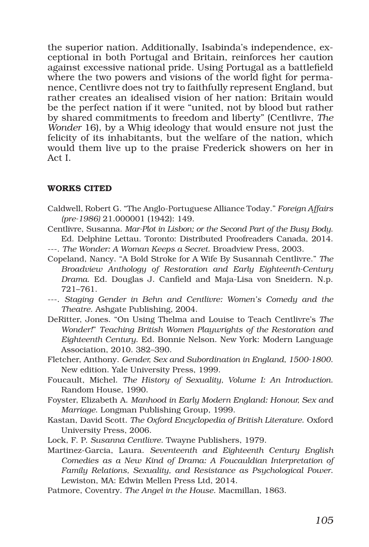the superior nation. Additionally, Isabinda's independence, exceptional in both Portugal and Britain, reinforces her caution against excessive national pride. Using Portugal as a battlefield where the two powers and visions of the world fight for permanence, Centlivre does not try to faithfully represent England, but rather creates an idealised vision of her nation: Britain would be the perfect nation if it were "united, not by blood but rather by shared commitments to freedom and liberty" (Centlivre, *The Wonder* 16), by a Whig ideology that would ensure not just the felicity of its inhabitants, but the welfare of the nation, which would them live up to the praise Frederick showers on her in Act I.

### WORKS CITED

- Caldwell, Robert G. "The Anglo-Portuguese Alliance Today." *Foreign Affairs (pre-1986)* 21.000001 (1942): 149.
- Centlivre, Susanna. *Mar-Plot in Lisbon; or the Second Part of the Busy Body*. Ed. Delphine Lettau. Toronto: Distributed Proofreaders Canada, 2014.
- ---. *The Wonder: A Woman Keeps a Secret*. Broadview Press, 2003.
- Copeland, Nancy. "A Bold Stroke for A Wife By Susannah Centlivre." *The Broadview Anthology of Restoration and Early Eighteenth-Century Drama*. Ed. Douglas J. Canfield and Maja-Lisa von Sneidern. N.p. 721–761.
- ---. *Staging Gender in Behn and Centlivre: Women's Comedy and the Theatre*. Ashgate Publishing, 2004.
- DeRitter, Jones. "On Using Thelma and Louise to Teach Centlivre's *The Wonder!*" *Teaching British Women Playwrights of the Restoration and Eighteenth Century*. Ed. Bonnie Nelson. New York: Modern Language Association, 2010. 382–390.
- Fletcher, Anthony. *Gender, Sex and Subordination in England, 1500-1800*. New edition. Yale University Press, 1999.
- Foucault, Michel. *The History of Sexuality, Volume I: An Introduction*. Random House, 1990.
- Foyster, Elizabeth A. *Manhood in Early Modern England: Honour, Sex and Marriage*. Longman Publishing Group, 1999.
- Kastan, David Scott. *The Oxford Encyclopedia of British Literature*. Oxford University Press, 2006.
- Lock, F. P. *Susanna Centlivre*. Twayne Publishers, 1979.
- Martinez-Garcia, Laura. *Seventeenth and Eighteenth Century English Comedies as a New Kind of Drama: A Foucauldian Interpretation of Family Relations, Sexuality, and Resistance as Psychological Power*. Lewiston, MA: Edwin Mellen Press Ltd, 2014.
- Patmore, Coventry. *The Angel in the House*. Macmillan, 1863.